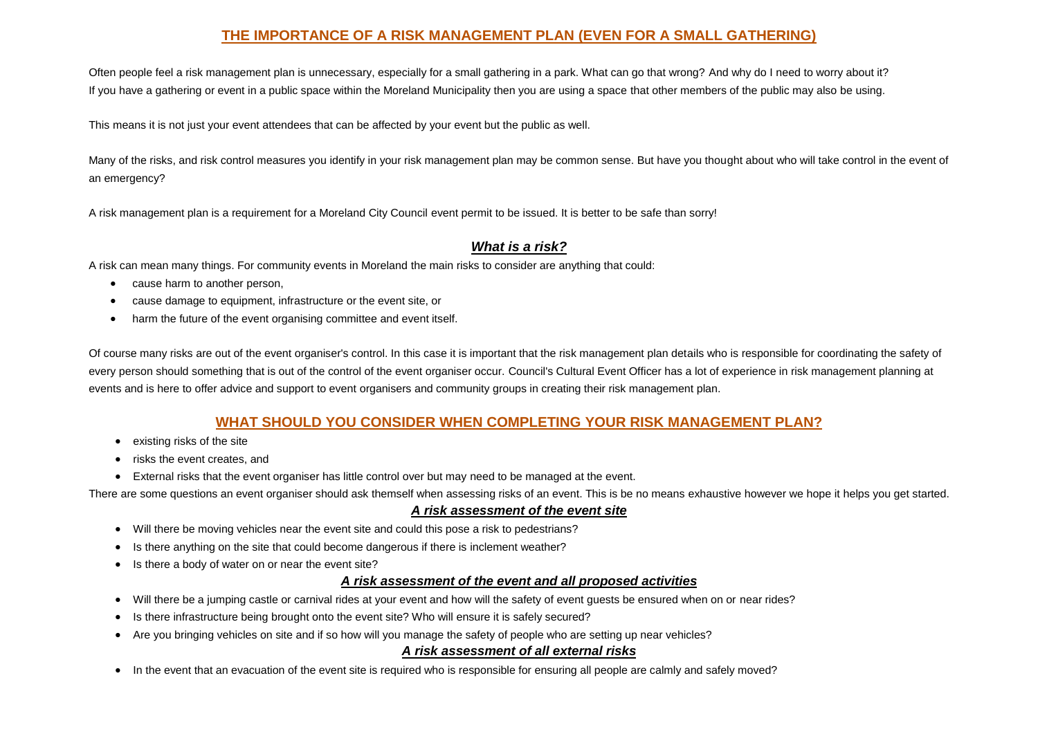# **THE IMPORTANCE OF A RISK MANAGEMENT PLAN (EVEN FOR A SMALL GATHERING)**

Often people feel a risk management plan is unnecessary, especially for a small gathering in a park. What can go that wrong? And why do I need to worry about it? If you have a gathering or event in a public space within the Moreland Municipality then you are using a space that other members of the public may also be using.

This means it is not just your event attendees that can be affected by your event but the public as well.

Many of the risks, and risk control measures you identify in your risk management plan may be common sense. But have you thought about who will take control in the event of an emergency?

A risk management plan is a requirement for a Moreland City Council event permit to be issued. It is better to be safe than sorry!

## *What is a risk?*

A risk can mean many things. For community events in Moreland the main risks to consider are anything that could:

- cause harm to another person,
- cause damage to equipment, infrastructure or the event site, or
- harm the future of the event organising committee and event itself.

Of course many risks are out of the event organiser's control. In this case it is important that the risk management plan details who is responsible for coordinating the safety of every person should something that is out of the control of the event organiser occur. Council's Cultural Event Officer has a lot of experience in risk management planning at events and is here to offer advice and support to event organisers and community groups in creating their risk management plan.

## **WHAT SHOULD YOU CONSIDER WHEN COMPLETING YOUR RISK MANAGEMENT PLAN?**

- existing risks of the site
- risks the event creates, and
- External risks that the event organiser has little control over but may need to be managed at the event.

There are some questions an event organiser should ask themself when assessing risks of an event. This is be no means exhaustive however we hope it helps you get started.

#### *A risk assessment of the event site*

- Will there be moving vehicles near the event site and could this pose a risk to pedestrians?
- Is there anything on the site that could become dangerous if there is inclement weather?
- Is there a body of water on or near the event site?

### *A risk assessment of the event and all proposed activities*

- Will there be a jumping castle or carnival rides at your event and how will the safety of event guests be ensured when on or near rides?
- Is there infrastructure being brought onto the event site? Who will ensure it is safely secured?
- Are you bringing vehicles on site and if so how will you manage the safety of people who are setting up near vehicles?

### *A risk assessment of all external risks*

• In the event that an evacuation of the event site is required who is responsible for ensuring all people are calmly and safely moved?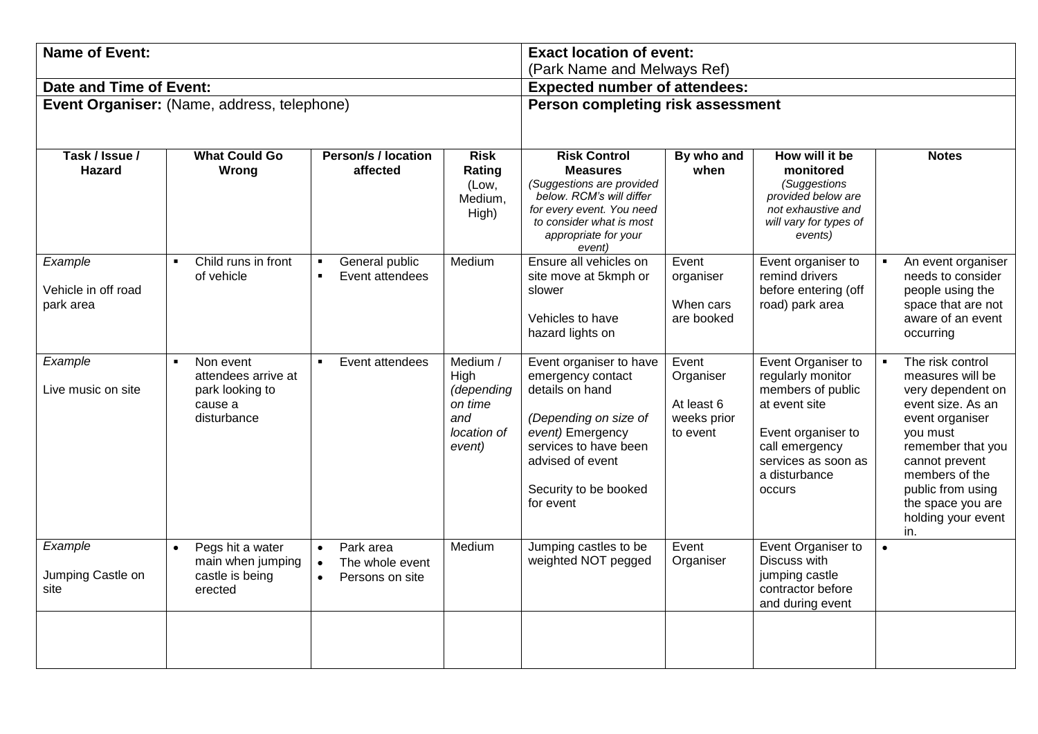| <b>Name of Event:</b>                       |                                                                                  |                                                              |                                                                           | <b>Exact location of event:</b><br>(Park Name and Melways Ref)                                                                                                                                  |                                                             |                                                                                                                                                                         |                                                                                                                                                                                                                                               |
|---------------------------------------------|----------------------------------------------------------------------------------|--------------------------------------------------------------|---------------------------------------------------------------------------|-------------------------------------------------------------------------------------------------------------------------------------------------------------------------------------------------|-------------------------------------------------------------|-------------------------------------------------------------------------------------------------------------------------------------------------------------------------|-----------------------------------------------------------------------------------------------------------------------------------------------------------------------------------------------------------------------------------------------|
| Date and Time of Event:                     |                                                                                  |                                                              |                                                                           | <b>Expected number of attendees:</b>                                                                                                                                                            |                                                             |                                                                                                                                                                         |                                                                                                                                                                                                                                               |
| Event Organiser: (Name, address, telephone) |                                                                                  |                                                              |                                                                           | Person completing risk assessment                                                                                                                                                               |                                                             |                                                                                                                                                                         |                                                                                                                                                                                                                                               |
| Task / Issue /<br><b>Hazard</b>             | <b>What Could Go</b><br>Wrong                                                    | <b>Person/s / location</b><br>affected                       | <b>Risk</b><br>Rating<br>(Low,<br>Medium,<br>High)                        | <b>Risk Control</b><br><b>Measures</b><br>(Suggestions are provided<br>below. RCM's will differ<br>for every event. You need<br>to consider what is most<br>appropriate for your<br>event)      | By who and<br>when                                          | How will it be<br>monitored<br>(Suggestions<br>provided below are<br>not exhaustive and<br>will vary for types of<br>events)                                            | <b>Notes</b>                                                                                                                                                                                                                                  |
| Example<br>Vehicle in off road<br>park area | Child runs in front<br>of vehicle                                                | General public<br>Event attendees                            | Medium                                                                    | Ensure all vehicles on<br>site move at 5kmph or<br>slower<br>Vehicles to have<br>hazard lights on                                                                                               | Event<br>organiser<br>When cars<br>are booked               | Event organiser to<br>remind drivers<br>before entering (off<br>road) park area                                                                                         | An event organiser<br>needs to consider<br>people using the<br>space that are not<br>aware of an event<br>occurring                                                                                                                           |
| Example<br>Live music on site               | Non event<br>attendees arrive at<br>park looking to<br>cause a<br>disturbance    | Event attendees                                              | Medium /<br>High<br>(depending<br>on time<br>and<br>location of<br>event) | Event organiser to have<br>emergency contact<br>details on hand<br>(Depending on size of<br>event) Emergency<br>services to have been<br>advised of event<br>Security to be booked<br>for event | Event<br>Organiser<br>At least 6<br>weeks prior<br>to event | Event Organiser to<br>regularly monitor<br>members of public<br>at event site<br>Event organiser to<br>call emergency<br>services as soon as<br>a disturbance<br>occurs | The risk control<br>measures will be<br>very dependent on<br>event size. As an<br>event organiser<br>you must<br>remember that you<br>cannot prevent<br>members of the<br>public from using<br>the space you are<br>holding your event<br>in. |
| Example<br>Jumping Castle on<br>site        | Pegs hit a water<br>$\bullet$<br>main when jumping<br>castle is being<br>erected | Park area<br>$\bullet$<br>The whole event<br>Persons on site | Medium                                                                    | Jumping castles to be<br>weighted NOT pegged                                                                                                                                                    | Event<br>Organiser                                          | Event Organiser to<br>Discuss with<br>jumping castle<br>contractor before<br>and during event                                                                           | $\bullet$                                                                                                                                                                                                                                     |
|                                             |                                                                                  |                                                              |                                                                           |                                                                                                                                                                                                 |                                                             |                                                                                                                                                                         |                                                                                                                                                                                                                                               |